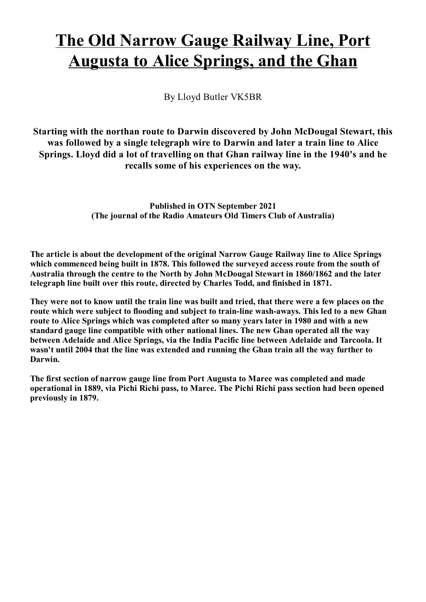## The Old Narrow Gauge Railway Line, Port **Augusta to Alice Springs, and the Ghan**

By Lloyd Butler VK5BR

Starting with the northan route to Darwin discovered by John McDougal Stewart, this was followed by a single telegraph wire to Darwin and later a train line to Alice Springs. Lloyd did a lot of travelling on that Ghan railway line in the 1940's and he recalls some of his experiences on the way.

> **Published in OTN September 2021** (The journal of the Radio Amateurs Old Timers Club of Australia)

The article is about the development of the original Narrow Gauge Railway line to Alice Springs which commenced being built in 1878. This followed the surveyed access route from the south of Australia through the centre to the North by John McDougal Stewart in 1860/1862 and the later telegraph line built over this route, directed by Charles Todd, and finished in 1871.

They were not to know until the train line was built and tried, that there were a few places on the route which were subject to flooding and subject to train-line wash-aways. This led to a new Ghan route to Alice Springs which was completed after so many years later in 1980 and with a new standard gauge line compatible with other national lines. The new Ghan operated all the way between Adelaide and Alice Springs, via the India Pacific line between Adelaide and Tarcoola. It wasn't until 2004 that the line was extended and running the Ghan train all the way further to Darwin.

The first section of narrow gauge line from Port Augusta to Maree was completed and made operational in 1889, via Pichi Richi pass, to Maree. The Pichi Richi pass section had been opened previously in 1879.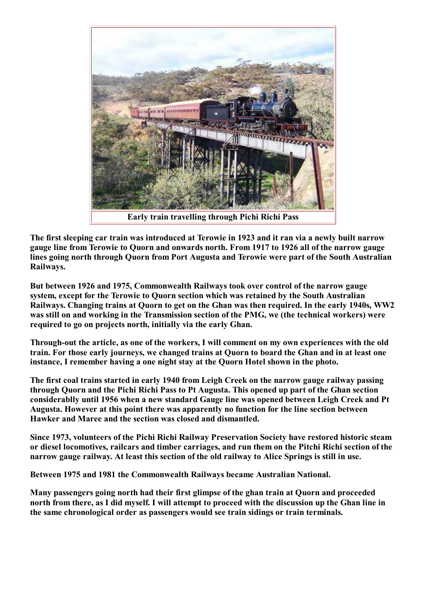

Early train travelling through Pichi Richi Pass

The first sleeping car train was introduced at Terowie in 1923 and it ran via a newly built narrow gauge line from Terowie to Quorn and onwards north. From 1917 to 1926 all of the narrow gauge lines going north through Ouorn from Port Augusta and Terowie were part of the South Australian Railways.

But between 1926 and 1975, Commonwealth Railways took over control of the narrow gauge system, except for the Terowie to Quorn section which was retained by the South Australian Railways. Changing trains at Quorn to get on the Ghan was then required. In the early 1940s, WW2 was still on and working in the Transmission section of the PMG, we (the technical workers) were required to go on projects north, initially via the early Ghan.

Through-out the article, as one of the workers, I will comment on my own experiences with the old train. For those early journeys, we changed trains at Quorn to board the Ghan and in at least one instance, I remember having a one night stay at the Quorn Hotel shown in the photo.

The first coal trains started in early 1940 from Leigh Creek on the narrow gauge railway passing through Quorn and the Pichi Richi Pass to Pt Augusta. This opened up part of the Ghan section considerablly until 1956 when a new standard Gauge line was opened between Leigh Creek and Pt Augusta. However at this point there was apparently no function for the line section between Hawker and Maree and the section was closed and dismantled.

Since 1973, volunteers of the Pichi Richi Railway Preservation Society have restored historic steam or diesel locomotives, railcars and timber carriages, and run them on the Pitchi Richi section of the narrow gauge railway. At least this section of the old railway to Alice Springs is still in use.

Between 1975 and 1981 the Commonwealth Railways became Australian National.

Many passengers going north had their first glimpse of the ghan train at Quorn and proceeded north from there, as I did myself. I will attempt to proceed with the discussion up the Ghan line in the same chronological order as passengers would see train sidings or train terminals.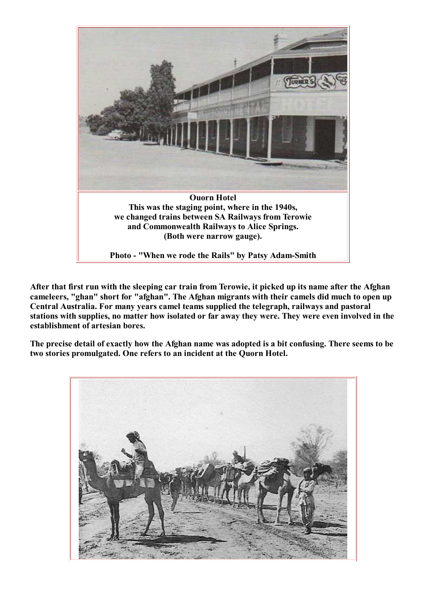

After that first run with the sleeping car train from Terowie, it picked up its name after the Afghan cameleers, "ghan" short for "afghan". The Afghan migrants with their camels did much to open up Central Australia. For many years camel teams supplied the telegraph, railways and pastoral stations with supplies, no matter how isolated or far away they were. They were even involved in the establishment of artesian bores.

The precise detail of exactly how the Afghan name was adopted is a bit confusing. There seems to be two stories promulgated. One refers to an incident at the Quorn Hotel.

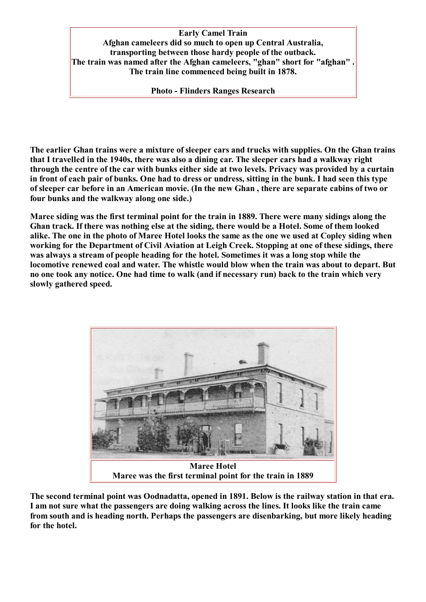**Early Camel Train** Afghan cameleers did so much to open up Central Australia, transporting between those hardy people of the outback. The train was named after the Afghan cameleers, "ghan" short for "afghan" The train line commenced being built in 1878.

**Photo - Flinders Ranges Research** 

The earlier Ghan trains were a mixture of sleeper cars and trucks with supplies. On the Ghan trains that I travelled in the 1940s, there was also a dining car. The sleeper cars had a walkway right through the centre of the car with bunks either side at two levels. Privacy was provided by a curtain in front of each pair of bunks. One had to dress or undress, sitting in the bunk. I had seen this type of sleeper car before in an American movie. (In the new Ghan, there are separate cabins of two or four bunks and the walkway along one side.)

Maree siding was the first terminal point for the train in 1889. There were many sidings along the Ghan track. If there was nothing else at the siding, there would be a Hotel. Some of them looked alike. The one in the photo of Maree Hotel looks the same as the one we used at Copley siding when working for the Department of Civil Aviation at Leigh Creek. Stopping at one of these sidings, there was always a stream of people heading for the hotel. Sometimes it was a long stop while the locomotive renewed coal and water. The whistle would blow when the train was about to depart. But no one took any notice. One had time to walk (and if necessary run) back to the train which very slowly gathered speed.



The second terminal point was Oodnadatta, opened in 1891. Below is the railway station in that era. I am not sure what the passengers are doing walking across the lines. It looks like the train came from south and is heading north. Perhaps the passengers are disenbarking, but more likely heading for the hotel.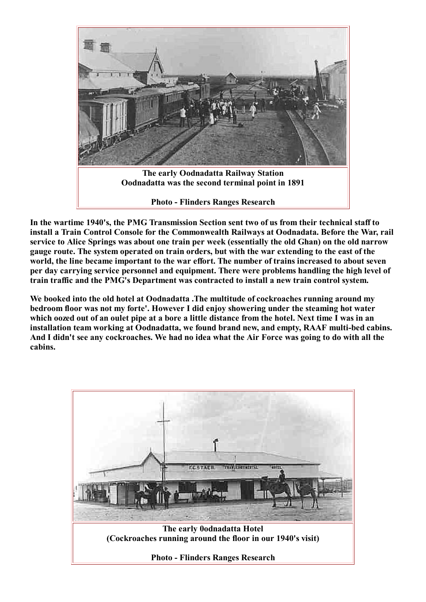

In the wartime 1940's, the PMG Transmission Section sent two of us from their technical staff to install a Train Control Console for the Commonwealth Railways at Oodnadata. Before the War, rail service to Alice Springs was about one train per week (essentially the old Ghan) on the old narrow gauge route. The system operated on train orders, but with the war extending to the east of the world, the line became important to the war effort. The number of trains increased to about seven per day carrying service personnel and equipment. There were problems handling the high level of train traffic and the PMG's Department was contracted to install a new train control system.

We booked into the old hotel at Oodnadatta . The multitude of cockroaches running around my bedroom floor was not my forte'. However I did enjoy showering under the steaming hot water which oozed out of an oulet pipe at a bore a little distance from the hotel. Next time I was in an installation team working at Oodnadatta, we found brand new, and empty, RAAF multi-bed cabins. And I didn't see any cockroaches. We had no idea what the Air Force was going to do with all the cabins.

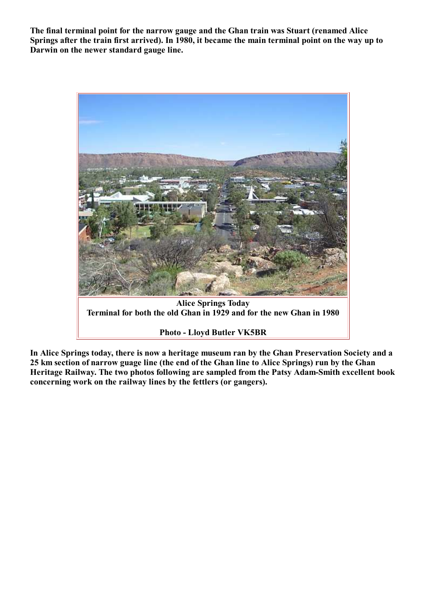The final terminal point for the narrow gauge and the Ghan train was Stuart (renamed Alice Springs after the train first arrived). In 1980, it became the main terminal point on the way up to Darwin on the newer standard gauge line.



In Alice Springs today, there is now a heritage museum ran by the Ghan Preservation Society and a 25 km section of narrow guage line (the end of the Ghan line to Alice Springs) run by the Ghan Heritage Railway. The two photos following are sampled from the Patsy Adam-Smith excellent book concerning work on the railway lines by the fettlers (or gangers).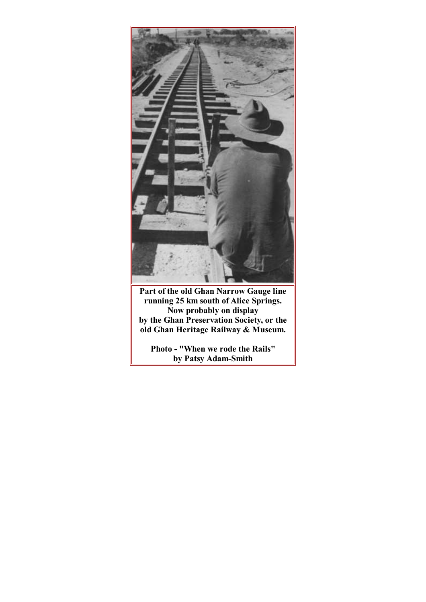

Part of the old Ghan Narrow Gauge line<br>running 25 km south of Alice Springs.<br>Now probably on display<br>by the Ghan Preservation Society, or the<br>old Ghan Heritage Railway & Museum.

Photo - "When we rode the Rails" by Patsy Adam-Smith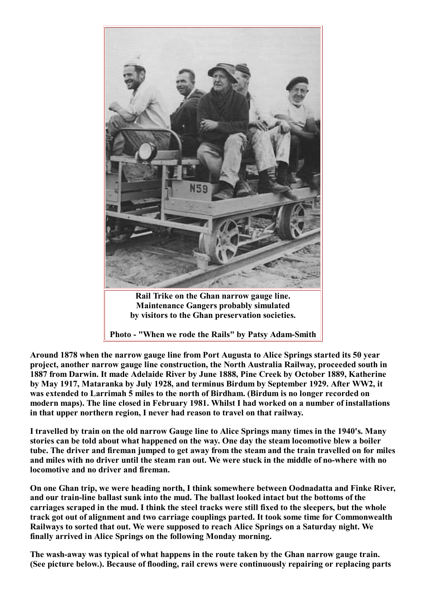

Rail Trike on the Ghan narrow gauge line. **Maintenance Gangers probably simulated** by visitors to the Ghan preservation societies.

Photo - "When we rode the Rails" by Patsy Adam-Smith

Around 1878 when the narrow gauge line from Port Augusta to Alice Springs started its 50 year project, another narrow gauge line construction, the North Australia Railway, proceeded south in 1887 from Darwin. It made Adelaide River by June 1888, Pine Creek by October 1889, Katherine by May 1917, Mataranka by July 1928, and terminus Birdum by September 1929. After WW2, it was extended to Larrimah 5 miles to the north of Birdham. (Birdum is no longer recorded on modern maps). The line closed in February 1981. Whilst I had worked on a number of installations in that upper northern region, I never had reason to travel on that railway.

I travelled by train on the old narrow Gauge line to Alice Springs many times in the 1940's. Many stories can be told about what happened on the way. One day the steam locomotive blew a boiler tube. The driver and fireman jumped to get away from the steam and the train travelled on for miles and miles with no driver until the steam ran out. We were stuck in the middle of no-where with no locomotive and no driver and fireman.

On one Ghan trip, we were heading north, I think somewhere between Oodnadatta and Finke River, and our train-line ballast sunk into the mud. The ballast looked intact but the bottoms of the carriages scraped in the mud. I think the steel tracks were still fixed to the sleepers, but the whole track got out of alignment and two carriage couplings parted. It took some time for Commonwealth Railways to sorted that out. We were supposed to reach Alice Springs on a Saturday night. We finally arrived in Alice Springs on the following Monday morning.

The wash-away was typical of what happens in the route taken by the Ghan narrow gauge train. (See picture below.). Because of flooding, rail crews were continuously repairing or replacing parts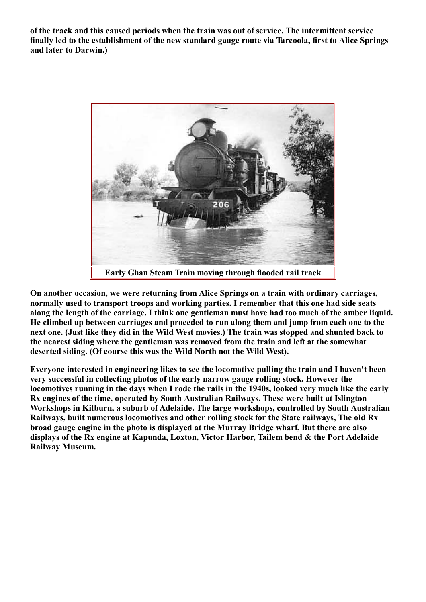of the track and this caused periods when the train was out of service. The intermittent service finally led to the establishment of the new standard gauge route via Tarcoola, first to Alice Springs and later to Darwin.)



On another occasion, we were returning from Alice Springs on a train with ordinary carriages, normally used to transport troops and working parties. I remember that this one had side seats along the length of the carriage. I think one gentleman must have had too much of the amber liquid. He climbed up between carriages and proceded to run along them and jump from each one to the next one. (Just like they did in the Wild West movies.) The train was stopped and shunted back to the nearest siding where the gentleman was removed from the train and left at the somewhat deserted siding. (Of course this was the Wild North not the Wild West).

Everyone interested in engineering likes to see the locomotive pulling the train and I haven't been very successful in collecting photos of the early narrow gauge rolling stock. However the locomotives running in the days when I rode the rails in the 1940s, looked very much like the early Rx engines of the time, operated by South Australian Railways. These were built at Islington Workshops in Kilburn, a suburb of Adelaide. The large workshops, controlled by South Australian Railways, built numerous locomotives and other rolling stock for the State railways, The old Rx broad gauge engine in the photo is displayed at the Murray Bridge wharf, But there are also displays of the Rx engine at Kapunda, Loxton, Victor Harbor, Tailem bend & the Port Adelaide **Railway Museum.**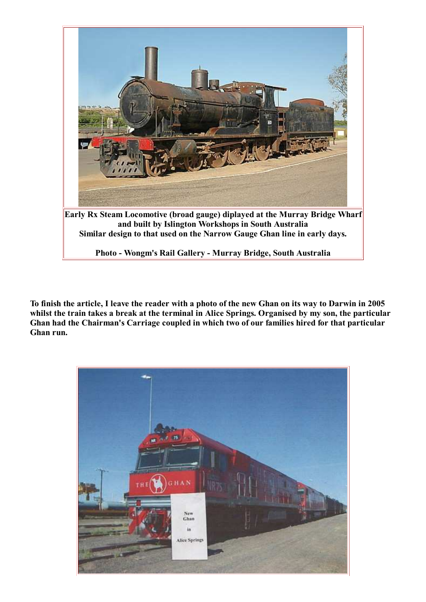

To finish the article, I leave the reader with a photo of the new Ghan on its way to Darwin in 2005 whilst the train takes a break at the terminal in Alice Springs. Organised by my son, the particular Ghan had the Chairman's Carriage coupled in which two of our families hired for that particular Ghan run.